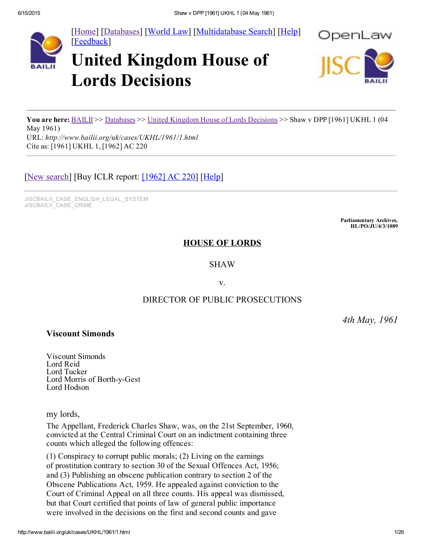[\[Home\]](http://www.bailii.org/) [[Databases\]](http://www.bailii.org/databases.html) [\[World](http://www.austlii.edu.au/links/World/) Law] [\[Multidatabase](http://www.bailii.org/form/search_multidatabase.html) Search] [\[Help\]](http://www.bailii.org/bailii/help/)



United Kingdom House of Lords Decisions



DpenLaw

You are here: [BAILII](http://www.bailii.org/) >> [Databases](http://www.bailii.org/databases.html) >> United Kingdom House of Lords [Decisions](http://www.bailii.org/uk/cases/UKHL/) >> Shaw v DPP [1961] UKHL 1 (04 May 1961) URL: http://www.bailii.org/uk/cases/UKHL/1961/1.html Cite as: [1961] UKHL 1, [1962] AC 220

[New [search\]](http://www.bailii.org/form/search_cases.html) [Buy ICLR report: [\[1962\]](https://shop.iclr.co.uk/Subscr/welcome.aspx?docId=XAC1962-1-220) AC 220] [\[Help\]](http://www.bailii.org/bailii/help/)

JISCBAILII CASE\_ENGLISH\_LEGAL\_SYSTEM JISCBAILII\_CASE\_CRIME

[\[Feedback\]](http://www.bailii.org/bailii/feedback.html)

Parliamentary Archives, HL/PO/JU/4/3/1089

# HOUSE OF LORDS

### SHAW

### v.

# DIRECTOR OF PUBLIC PROSECUTIONS

4th May, 1961

# Viscount Simonds

Viscount Simonds Lord Reid Lord Tucker Lord Morris of Borth-y-Gest Lord Hodson

my lords,

The Appellant, Frederick Charles Shaw, was, on the 21st September, 1960, convicted at the Central Criminal Court on an indictment containing three counts which alleged the following offences:

(1) Conspiracy to corrupt public morals; (2) Living on the earnings of prostitution contrary to section 30 of the Sexual Offences Act, 1956; and (3) Publishing an obscene publication contrary to section 2 of the Obscene Publications Act, 1959. He appealed against conviction to the Court of Criminal Appeal on all three counts. His appeal was dismissed, but that Court certified that points of law of general public importance were involved in the decisions on the first and second counts and gave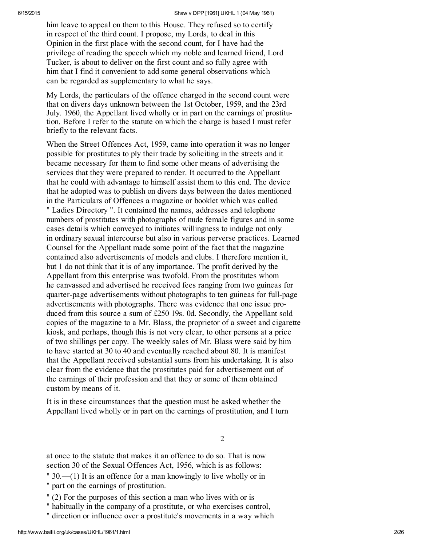him leave to appeal on them to this House. They refused so to certify in respect of the third count. I propose, my Lords, to deal in this Opinion in the first place with the second count, for I have had the privilege of reading the speech which my noble and learned friend, Lord Tucker, is about to deliver on the first count and so fully agree with him that I find it convenient to add some general observations which can be regarded as supplementary to what he says.

My Lords, the particulars of the offence charged in the second count were that on divers days unknown between the 1st October, 1959, and the 23rd July. 1960, the Appellant lived wholly or in part on the earnings of prostitution. Before I refer to the statute on which the charge is based I must refer briefly to the relevant facts.

When the Street Offences Act, 1959, came into operation it was no longer possible for prostitutes to ply their trade by soliciting in the streets and it became necessary for them to find some other means of advertising the services that they were prepared to render. It occurred to the Appellant that he could with advantage to himself assist them to this end. The device that he adopted was to publish on divers days between the dates mentioned in the Particulars of Offences a magazine or booklet which was called " Ladies Directory ". It contained the names, addresses and telephone numbers of prostitutes with photographs of nude female figures and in some cases details which conveyed to initiates willingness to indulge not only in ordinary sexual intercourse but also in various perverse practices. Learned Counsel for the Appellant made some point of the fact that the magazine contained also advertisements of models and clubs. I therefore mention it, but 1 do not think that it is of any importance. The profit derived by the Appellant from this enterprise was twofold. From the prostitutes whom he canvassed and advertised he received fees ranging from two guineas for quarter-page advertisements without photographs to ten guineas for full-page advertisements with photographs. There was evidence that one issue produced from this source a sum of £250 19s. 0d. Secondly, the Appellant sold copies of the magazine to a Mr. Blass, the proprietor of a sweet and cigarette kiosk, and perhaps, though this is not very clear, to other persons at a price of two shillings per copy. The weekly sales of Mr. Blass were said by him to have started at 30 to 40 and eventually reached about 80. It is manifest that the Appellant received substantial sums from his undertaking. It is also clear from the evidence that the prostitutes paid for advertisement out of the earnings of their profession and that they or some of them obtained custom by means of it.

It is in these circumstances that the question must be asked whether the Appellant lived wholly or in part on the earnings of prostitution, and I turn

2

at once to the statute that makes it an offence to do so. That is now section 30 of the Sexual Offences Act, 1956, which is as follows:

" 30.—(1) It is an offence for a man knowingly to live wholly or in " part on the earnings of prostitution.

" (2) For the purposes of this section a man who lives with or is

" habitually in the company of a prostitute, or who exercises control,

" direction or influence over a prostitute's movements in a way which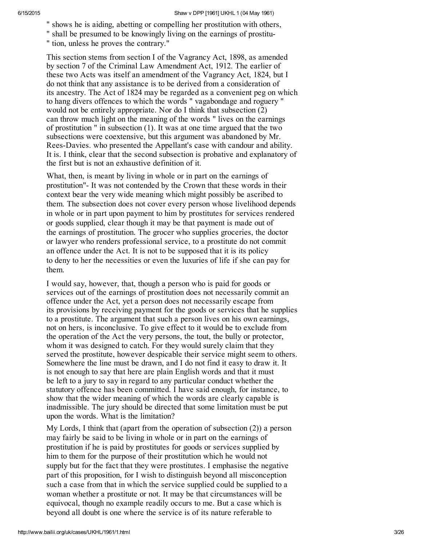- " shows he is aiding, abetting or compelling her prostitution with others,
- " shall be presumed to be knowingly living on the earnings of prostitu
- " tion, unless he proves the contrary."

This section stems from section I of the Vagrancy Act, 1898, as amended by section 7 of the Criminal Law Amendment Act, 1912. The earlier of these two Acts was itself an amendment of the Vagrancy Act, 1824, but I do not think that any assistance is to be derived from a consideration of its ancestry. The Act of 1824 may be regarded as a convenient peg on which to hang divers offences to which the words " vagabondage and roguery " would not be entirely appropriate. Nor do I think that subsection (2) can throw much light on the meaning of the words " lives on the earnings of prostitution " in subsection (1). It was at one time argued that the two subsections were coextensive, but this argument was abandoned by Mr. Rees-Davies, who presented the Appellant's case with candour and ability. It is. I think, clear that the second subsection is probative and explanatory of the first but is not an exhaustive definition of it.

What, then, is meant by living in whole or in part on the earnings of prostitution"- It was not contended by the Crown that these words in their context bear the very wide meaning which might possibly be ascribed to them. The subsection does not cover every person whose livelihood depends in whole or in part upon payment to him by prostitutes for services rendered or goods supplied, clear though it may be that payment is made out of the earnings of prostitution. The grocer who supplies groceries, the doctor or lawyer who renders professional service, to a prostitute do not commit an offence under the Act. It is not to be supposed that it is its policy to deny to her the necessities or even the luxuries of life if she can pay for them.

I would say, however, that, though a person who is paid for goods or services out of the earnings of prostitution does not necessarily commit an offence under the Act, yet a person does not necessarily escape from its provisions by receiving payment for the goods or services that he supplies to a prostitute. The argument that such a person lives on his own earnings, not on hers, is inconclusive. To give effect to it would be to exclude from the operation of the Act the very persons, the tout, the bully or protector, whom it was designed to catch. For they would surely claim that they served the prostitute, however despicable their service might seem to others. Somewhere the line must be drawn, and I do not find it easy to draw it. It is not enough to say that here are plain English words and that it must be left to a jury to say in regard to any particular conduct whether the statutory offence has been committed. I have said enough, for instance, to show that the wider meaning of which the words are clearly capable is inadmissible. The jury should be directed that some limitation must be put upon the words. What is the limitation?

My Lords, I think that (apart from the operation of subsection (2)) a person may fairly be said to be living in whole or in part on the earnings of prostitution if he is paid by prostitutes for goods or services supplied by him to them for the purpose of their prostitution which he would not supply but for the fact that they were prostitutes. I emphasise the negative part of this proposition, for I wish to distinguish beyond all misconception such a case from that in which the service supplied could be supplied to a woman whether a prostitute or not. It may be that circumstances will be equivocal, though no example readily occurs to me. But a case which is beyond all doubt is one where the service is of its nature referable to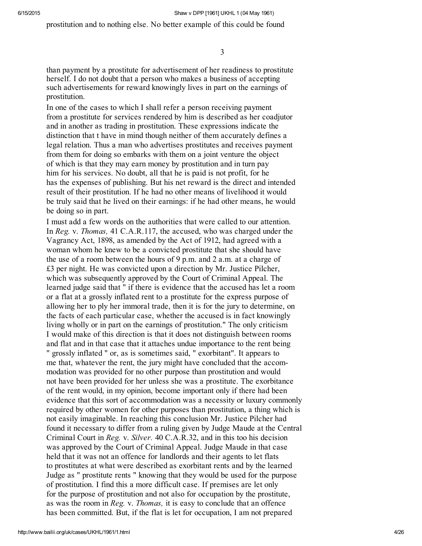prostitution and to nothing else. No better example of this could be found

3

than payment by a prostitute for advertisement of her readiness to prostitute herself. I do not doubt that a person who makes a business of accepting such advertisements for reward knowingly lives in part on the earnings of prostitution.

In one of the cases to which I shall refer a person receiving payment from a prostitute for services rendered by him is described as her coadjutor and in another as trading in prostitution. These expressions indicate the distinction that t have in mind though neither of them accurately defines a legal relation. Thus a man who advertises prostitutes and receives payment from them for doing so embarks with them on a joint venture the object of which is that they may earn money by prostitution and in turn pay him for his services. No doubt, all that he is paid is not profit, for he has the expenses of publishing. But his net reward is the direct and intended result of their prostitution. If he had no other means of livelihood it would be truly said that he lived on their earnings: if he had other means, he would be doing so in part.

I must add a few words on the authorities that were called to our attention. In Reg. v. Thomas, 41 C.A.R.117, the accused, who was charged under the Vagrancy Act, 1898, as amended by the Act of 1912, had agreed with a woman whom he knew to be a convicted prostitute that she should have the use of a room between the hours of 9 p.m. and 2 a.m. at a charge of £3 per night. He was convicted upon a direction by Mr. Justice Pilcher, which was subsequently approved by the Court of Criminal Appeal. The learned judge said that " if there is evidence that the accused has let a room or a flat at a grossly inflated rent to a prostitute for the express purpose of allowing her to ply her immoral trade, then it is for the jury to determine, on the facts of each particular case, whether the accused is in fact knowingly living wholly or in part on the earnings of prostitution." The only criticism I would make of this direction is that it does not distinguish between rooms and flat and in that case that it attaches undue importance to the rent being " grossly inflated " or, as is sometimes said, " exorbitant". It appears to me that, whatever the rent, the jury might have concluded that the accommodation was provided for no other purpose than prostitution and would not have been provided for her unless she was a prostitute. The exorbitance of the rent would, in my opinion, become important only if there had been evidence that this sort of accommodation was a necessity or luxury commonly required by other women for other purposes than prostitution, a thing which is not easily imaginable. In reaching this conclusion Mr. Justice Pilcher had found it necessary to differ from a ruling given by Judge Maude at the Central Criminal Court in Reg. v. Silver. 40 C.A.R.32, and in this too his decision was approved by the Court of Criminal Appeal. Judge Maude in that case held that it was not an offence for landlords and their agents to let flats to prostitutes at what were described as exorbitant rents and by the learned Judge as " prostitute rents " knowing that they would be used for the purpose of prostitution. I find this a more difficult case. If premises are let only for the purpose of prostitution and not also for occupation by the prostitute, as was the room in Reg. v. Thomas, it is easy to conclude that an offence has been committed. But, if the flat is let for occupation, I am not prepared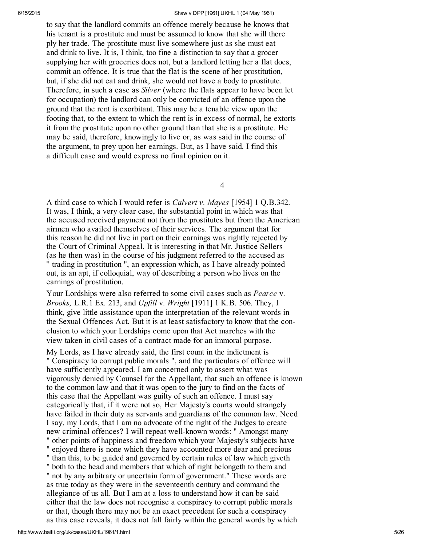to say that the landlord commits an offence merely because he knows that his tenant is a prostitute and must be assumed to know that she will there ply her trade. The prostitute must live somewhere just as she must eat and drink to live. It is, I think, too fine a distinction to say that a grocer supplying her with groceries does not, but a landlord letting her a flat does, commit an offence. It is true that the flat is the scene of her prostitution, but, if she did not eat and drink, she would not have a body to prostitute. Therefore, in such a case as *Silver* (where the flats appear to have been let for occupation) the landlord can only be convicted of an offence upon the ground that the rent is exorbitant. This may be a tenable view upon the footing that, to the extent to which the rent is in excess of normal, he extorts it from the prostitute upon no other ground than that she is a prostitute. He may be said, therefore, knowingly to live or, as was said in the course of the argument, to prey upon her earnings. But, as I have said. I find this a difficult case and would express no final opinion on it.

4

A third case to which I would refer is *Calvert v. Mayes* [1954] 1 Q.B.342. It was, I think, a very clear case, the substantial point in which was that the accused received payment not from the prostitutes but from the American airmen who availed themselves of their services. The argument that for this reason he did not live in part on their earnings was rightly rejected by the Court of Criminal Appeal. It is interesting in that Mr. Justice Sellers (as he then was) in the course of his judgment referred to the accused as '' trading in prostitution ", an expression which, as I have already pointed out, is an apt, if colloquial, way of describing a person who lives on the earnings of prostitution.

Your Lordships were also referred to some civil cases such as Pearce v. Brooks, L.R.1 Ex. 213, and Upfill v. Wright [1911] 1 K.B. 506. They, I think, give little assistance upon the interpretation of the relevant words in the Sexual Offences Act. But it is at least satisfactory to know that the conclusion to which your Lordships come upon that Act marches with the view taken in civil cases of a contract made for an immoral purpose.

My Lords, as I have already said, the first count in the indictment is " Conspiracy to corrupt public morals ", and the particulars of offence will have sufficiently appeared. I am concerned only to assert what was vigorously denied by Counsel for the Appellant, that such an offence is known to the common law and that it was open to the jury to find on the facts of this case that the Appellant was guilty of such an offence. I must say categorically that, if it were not so, Her Majesty's courts would strangely have failed in their duty as servants and guardians of the common law. Need I say, my Lords, that I am no advocate of the right of the Judges to create new criminal offences? I will repeat well-known words: "Amongst many " other points of happiness and freedom which your Majesty's subjects have " enjoyed there is none which they have accounted more dear and precious " than this, to be guided and governed by certain rules of law which giveth " both to the head and members that which of right belongeth to them and " not by any arbitrary or uncertain form of government." These words are as true today as they were in the seventeenth century and command the allegiance of us all. But I am at a loss to understand how it can be said either that the law does not recognise a conspiracy to corrupt public morals or that, though there may not be an exact precedent for such a conspiracy as this case reveals, it does not fall fairly within the general words by which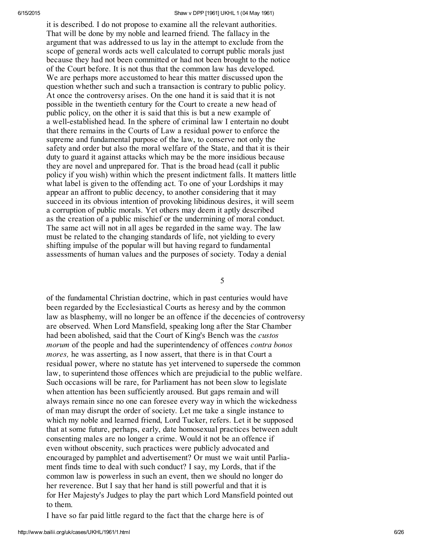it is described. I do not propose to examine all the relevant authorities. That will be done by my noble and learned friend. The fallacy in the argument that was addressed to us lay in the attempt to exclude from the scope of general words acts well calculated to corrupt public morals just because they had not been committed or had not been brought to the notice of the Court before. It is not thus that the common law has developed. We are perhaps more accustomed to hear this matter discussed upon the question whether such and such a transaction is contrary to public policy. At once the controversy arises. On the one hand it is said that it is not possible in the twentieth century for the Court to create a new head of public policy, on the other it is said that this is but a new example of a wellestablished head. In the sphere of criminal law I entertain no doubt that there remains in the Courts of Law a residual power to enforce the supreme and fundamental purpose of the law, to conserve not only the safety and order but also the moral welfare of the State, and that it is their duty to guard it against attacks which may be the more insidious because they are novel and unprepared for. That is the broad head (call it public policy if you wish) within which the present indictment falls. It matters little what label is given to the offending act. To one of your Lordships it may appear an affront to public decency, to another considering that it may succeed in its obvious intention of provoking libidinous desires, it will seem a corruption of public morals. Yet others may deem it aptly described as the creation of a public mischief or the undermining of moral conduct. The same act will not in all ages be regarded in the same way. The law must be related to the changing standards of life, not yielding to every shifting impulse of the popular will but having regard to fundamental assessments of human values and the purposes of society. Today a denial

5

of the fundamental Christian doctrine, which in past centuries would have been regarded by the Ecclesiastical Courts as heresy and by the common law as blasphemy, will no longer be an offence if the decencies of controversy are observed. When Lord Mansfield, speaking long after the Star Chamber had been abolished, said that the Court of King's Bench was the custos morum of the people and had the superintendency of offences *contra bonos* mores, he was asserting, as I now assert, that there is in that Court a residual power, where no statute has yet intervened to supersede the common law, to superintend those offences which are prejudicial to the public welfare. Such occasions will be rare, for Parliament has not been slow to legislate when attention has been sufficiently aroused. But gaps remain and will always remain since no one can foresee every way in which the wickedness of man may disrupt the order of society. Let me take a single instance to which my noble and learned friend, Lord Tucker, refers. Let it be supposed that at some future, perhaps, early, date homosexual practices between adult consenting males are no longer a crime. Would it not be an offence if even without obscenity, such practices were publicly advocated and encouraged by pamphlet and advertisement? Or must we wait until Parliament finds time to deal with such conduct? I say, my Lords, that if the common law is powerless in such an event, then we should no longer do her reverence. But I say that her hand is still powerful and that it is for Her Majesty's Judges to play the part which Lord Mansfield pointed out to them.

I have so far paid little regard to the fact that the charge here is of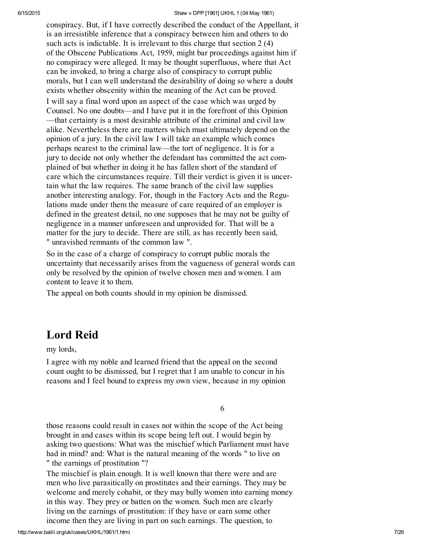conspiracy. But, if I have correctly described the conduct of the Appellant, it is an irresistible inference that a conspiracy between him and others to do such acts is indictable. It is irrelevant to this charge that section 2 (4) of the Obscene Publications Act, 1959, might bar proceedings against him if no conspiracy were alleged. It may be thought superfluous, where that Act can be invoked, to bring a charge also of conspiracy to corrupt public morals, but I can well understand the desirability of doing so where a doubt exists whether obscenity within the meaning of the Act can be proved. I will say a final word upon an aspect of the case which was urged by Counsel. No one doubts—and I have put it in the forefront of this Opinion —that certainty is a most desirable attribute of the criminal and civil law alike. Nevertheless there are matters which must ultimately depend on the opinion of a jury. In the civil law I will take an example which comes perhaps nearest to the criminal law—the tort of negligence. It is for a jury to decide not only whether the defendant has committed the act complained of but whether in doing it he has fallen short of the standard of care which the circumstances require. Till their verdict is given it is uncertain what the law requires. The same branch of the civil law supplies another interesting analogy. For, though in the Factory Acts and the Regulations made under them the measure of care required of an employer is defined in the greatest detail, no one supposes that he may not be guilty of negligence in a manner unforeseen and unprovided for. That will be a matter for the jury to decide. There are still, as has recently been said, " unravished remnants of the common law ".

So in the case of a charge of conspiracy to corrupt public morals the uncertainty that necessarily arises from the vagueness of general words can only be resolved by the opinion of twelve chosen men and women. I am content to leave it to them.

The appeal on both counts should in my opinion be dismissed.

# Lord Reid

my lords,

I agree with my noble and learned friend that the appeal on the second count ought to be dismissed, but I regret that I am unable to concur in his reasons and I feel bound to express my own view, because in my opinion

6

those reasons could result in cases not within the scope of the Act being brought in and cases within its scope being left out. I would begin by asking two questions: What was the mischief which Parliament must have had in mind? and: What is the natural meaning of the words " to live on " the earnings of prostitution "?

The mischief is plain enough. It is well known that there were and are men who live parasitically on prostitutes and their earnings. They may be welcome and merely cohabit, or they may bully women into earning money in this way. They prey or batten on the women. Such men are clearly living on the earnings of prostitution: if they have or earn some other income then they are living in part on such earnings. The question, to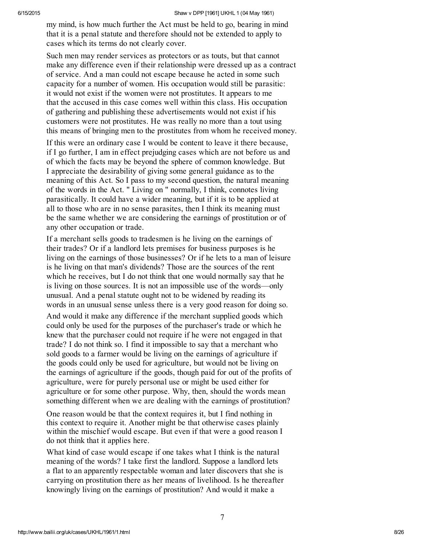my mind, is how much further the Act must be held to go, bearing in mind that it is a penal statute and therefore should not be extended to apply to cases which its terms do not clearly cover.

Such men may render services as protectors or as touts, but that cannot make any difference even if their relationship were dressed up as a contract of service. And a man could not escape because he acted in some such capacity for a number of women. His occupation would still be parasitic: it would not exist if the women were not prostitutes. It appears to me that the accused in this case comes well within this class. His occupation of gathering and publishing these advertisements would not exist if his customers were not prostitutes. He was really no more than a tout using this means of bringing men to the prostitutes from whom he received money.

If this were an ordinary case I would be content to leave it there because, if I go further, I am in effect prejudging cases which are not before us and of which the facts may be beyond the sphere of common knowledge. But I appreciate the desirability of giving some general guidance as to the meaning of this Act. So I pass to my second question, the natural meaning of the words in the Act. " Living on " normally, I think, connotes living parasitically. It could have a wider meaning, but if it is to be applied at all to those who are in no sense parasites, then I think its meaning must be the same whether we are considering the earnings of prostitution or of any other occupation or trade.

If a merchant sells goods to tradesmen is he living on the earnings of their trades? Or if a landlord lets premises for business purposes is he living on the earnings of those businesses? Or if he lets to a man of leisure is he living on that man's dividends? Those are the sources of the rent which he receives, but I do not think that one would normally say that he is living on those sources. It is not an impossible use of the words—only unusual. And a penal statute ought not to be widened by reading its words in an unusual sense unless there is a very good reason for doing so.

And would it make any difference if the merchant supplied goods which could only be used for the purposes of the purchaser's trade or which he knew that the purchaser could not require if he were not engaged in that trade? I do not think so. I find it impossible to say that a merchant who sold goods to a farmer would be living on the earnings of agriculture if the goods could only be used for agriculture, but would not be living on the earnings of agriculture if the goods, though paid for out of the profits of agriculture, were for purely personal use or might be used either for agriculture or for some other purpose. Why, then, should the words mean something different when we are dealing with the earnings of prostitution?

One reason would be that the context requires it, but I find nothing in this context to require it. Another might be that otherwise cases plainly within the mischief would escape. But even if that were a good reason I do not think that it applies here.

What kind of case would escape if one takes what I think is the natural meaning of the words? I take first the landlord. Suppose a landlord lets a flat to an apparently respectable woman and later discovers that she is carrying on prostitution there as her means of livelihood. Is he thereafter knowingly living on the earnings of prostitution? And would it make a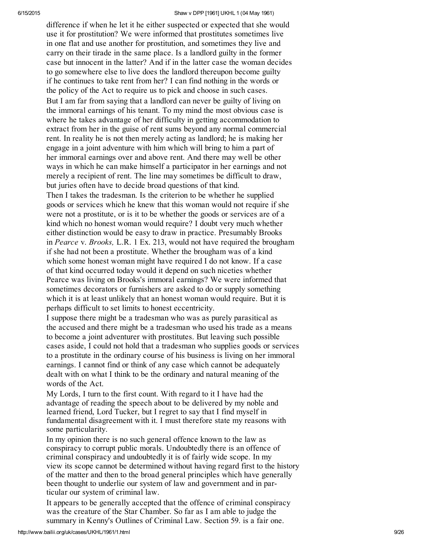difference if when he let it he either suspected or expected that she would use it for prostitution? We were informed that prostitutes sometimes live in one flat and use another for prostitution, and sometimes they live and carry on their tirade in the same place. Is a landlord guilty in the former case but innocent in the latter? And if in the latter case the woman decides to go somewhere else to live does the landlord thereupon become guilty if he continues to take rent from her? I can find nothing in the words or the policy of the Act to require us to pick and choose in such cases. But I am far from saying that a landlord can never be guilty of living on the immoral earnings of his tenant. To my mind the most obvious case is where he takes advantage of her difficulty in getting accommodation to extract from her in the guise of rent sums beyond any normal commercial rent. In reality he is not then merely acting as landlord; he is making her engage in a joint adventure with him which will bring to him a part of her immoral earnings over and above rent. And there may well be other ways in which he can make himself a participator in her earnings and not merely a recipient of rent. The line may sometimes be difficult to draw, but juries often have to decide broad questions of that kind. Then I takes the tradesman. Is the criterion to be whether he supplied goods or services which he knew that this woman would not require if she were not a prostitute, or is it to be whether the goods or services are of a kind which no honest woman would require? I doubt very much whether either distinction would be easy to draw in practice. Presumably Brooks in Pearce v. Brooks, L.R. 1 Ex. 213, would not have required the brougham if she had not been a prostitute. Whether the brougham was of a kind which some honest woman might have required I do not know. If a case of that kind occurred today would it depend on such niceties whether Pearce was living on Brooks's immoral earnings? We were informed that sometimes decorators or furnishers are asked to do or supply something which it is at least unlikely that an honest woman would require. But it is perhaps difficult to set limits to honest eccentricity.

I suppose there might be a tradesman who was as purely parasitical as the accused and there might be a tradesman who used his trade as a means to become a joint adventurer with prostitutes. But leaving such possible cases aside, I could not hold that a tradesman who supplies goods or services to a prostitute in the ordinary course of his business is living on her immoral earnings. I cannot find or think of any case which cannot be adequately dealt with on what I think to be the ordinary and natural meaning of the words of the Act.

My Lords, I turn to the first count. With regard to it I have had the advantage of reading the speech about to be delivered by my noble and learned friend, Lord Tucker, but I regret to say that I find myself in fundamental disagreement with it. I must therefore state my reasons with some particularity.

In my opinion there is no such general offence known to the law as conspiracy to corrupt public morals. Undoubtedly there is an offence of criminal conspiracy and undoubtedly it is of fairly wide scope. In my view its scope cannot be determined without having regard first to the history of the matter and then to the broad general principles which have generally been thought to underlie our system of law and government and in particular our system of criminal law.

It appears to be generally accepted that the offence of criminal conspiracy was the creature of the Star Chamber. So far as I am able to judge the summary in Kenny's Outlines of Criminal Law. Section 59. is a fair one.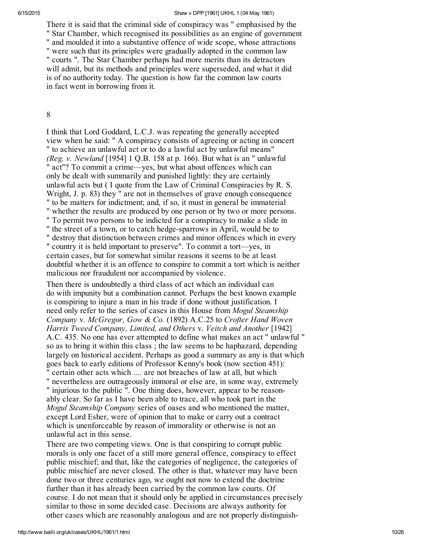There it is said that the criminal side of conspiracy was " emphasised by the

" Star Chamber, which recognised its possibilities as an engine of government " and moulded it into a substantive offence of wide scope, whose attractions

" were such that its principles were gradually adopted in the common law

" courts ". The Star Chamber perhaps had more merits than its detractors

will admit, but its methods and principles were superseded, and what it did is of no authority today. The question is how far the common law courts in fact went in borrowing from it.

### 8

I think that Lord Goddard, L.C.J. was repeating the generally accepted view when he said: " A conspiracy consists of agreeing or acting in concert " to achieve an unlawful act or to do a lawful act by unlawful means" (Reg. v. Newland [1954]  $1 \Omega$ . B. 158 at p. 166). But what is an " unlawful " act"? To commit a crime—yes, but what about offences which can only be dealt with summarily and punished lightly: they are certainly unlawful acts but ( I quote from the Law of Criminal Conspiracies by R. S. Wright, J. p. 83) they " are not in themselves of grave enough consequence " to be matters for indictment; and, if so, it must in general be immaterial " whether the results are produced by one person or by two or more persons. " To permit two persons to be indicted for a conspiracy to make a slide in " the street of a town, or to catch hedge-sparrows in April, would be to " destroy that distinction between crimes and minor offences which in every " country it is held important to preserve". To commit a tort—yes, in certain cases, but for somewhat similar reasons it seems to be at least doubtful whether it is an offence to conspire to commit a tort which is neither malicious nor fraudulent nor accompanied by violence.

Then there is undoubtedly a third class of act which an individual can do with impunity but a combination cannot. Perhaps the best known example is conspiring to injure a man in his trade if done without justification. I need only refer to the series of cases in this House from *Mogul Steamship* Company v. McGregor, Gow & Co. (1892) A.C.25 to Crofter Hand Woven Harris Tweed Company, Limited, and Others v. Veitch and Another [1942] A.C. 435. No one has ever attempted to define what makes an act " unlawful " so as to bring it within this class ; the law seems to be haphazard, depending largely on historical accident. Perhaps as good a summary as any is that which goes back to early editions of Professor Kenny's book (now section 451): " certain other acts which .... are not breaches of law at all, but which " nevertheless are outrageously immoral or else are, in some way, extremely " injurious to the public ". One thing does, however, appear to be reasonably clear. So far as I have been able to trace, all who took part in the Mogul Steamship Company series of oases and who mentioned the matter, except Lord Esher, were of opinion that to make or carry out a contract which is unenforceable by reason of immorality or otherwise is not an unlawful act in this sense.

There are two competing views. One is that conspiring to corrupt public morals is only one facet of a still more general offence, conspiracy to effect public mischief; and that, like the categories of negligence, the categories of public mischief are never closed. The other is that, whatever may have been done two or three centuries ago, we ought not now to extend the doctrine further than it has already been carried by the common law courts. Of course. I do not mean that it should only be applied in circumstances precisely similar to those in some decided case. Decisions are always authority for other cases which are reasonably analogous and are not properly distinguish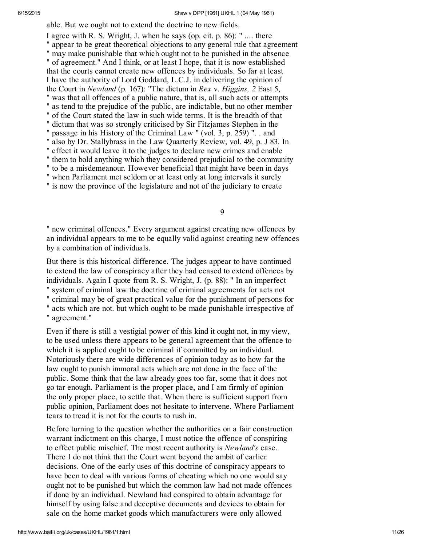9

able. But we ought not to extend the doctrine to new fields.

I agree with R. S. Wright, J. when he says (op. cit. p. 86): " .... there " appear to be great theoretical objections to any general rule that agreement " may make punishable that which ought not to be punished in the absence " of agreement." And I think, or at least I hope, that it is now established that the courts cannot create new offences by individuals. So far at least I have the authority of Lord Goddard, L.C.J. in delivering the opinion of the Court in Newland (p. 167): "The dictum in Rex v. Higgins,  $\overline{2}$  East 5, " was that all offences of a public nature, that is, all such acts or attempts " as tend to the prejudice of the public, are indictable, but no other member " of the Court stated the law in such wide terms. It is the breadth of that " dictum that was so strongly criticised by Sir Fitzjames Stephen in the " passage in his History of the Criminal Law " (vol. 3, p. 259) ". . and " also by Dr. Stallybrass in the Law Quarterly Review, vol. 49, p. J 83. In " effect it would leave it to the judges to declare new crimes and enable " them to bold anything which they considered prejudicial to the community " to be a misdemeanour. However beneficial that might have been in days " when Parliament met seldom or at least only at long intervals it surely " is now the province of the legislature and not of the judiciary to create

" new criminal offences." Every argument against creating new offences by an individual appears to me to be equally valid against creating new offences by a combination of individuals.

But there is this historical difference. The judges appear to have continued to extend the law of conspiracy after they had ceased to extend offences by individuals. Again I quote from R. S. Wright, J. (p. 88): " In an imperfect " system of criminal law the doctrine of criminal agreements for acts not " criminal may be of great practical value for the punishment of persons for " acts which are not. but which ought to be made punishable irrespective of " agreement."

Even if there is still a vestigial power of this kind it ought not, in my view, to be used unless there appears to be general agreement that the offence to which it is applied ought to be criminal if committed by an individual. Notoriously there are wide differences of opinion today as to how far the law ought to punish immoral acts which are not done in the face of the public. Some think that the law already goes too far, some that it does not go tar enough. Parliament is the proper place, and I am firmly of opinion the only proper place, to settle that. When there is sufficient support from public opinion, Parliament does not hesitate to intervene. Where Parliament tears to tread it is not for the courts to rush in.

Before turning to the question whether the authorities on a fair construction warrant indictment on this charge, I must notice the offence of conspiring to effect public mischief. The most recent authority is Newland's case. There I do not think that the Court went beyond the ambit of earlier decisions. One of the early uses of this doctrine of conspiracy appears to have been to deal with various forms of cheating which no one would say ought not to be punished but which the common law had not made offences if done by an individual. Newland had conspired to obtain advantage for himself by using false and deceptive documents and devices to obtain for sale on the home market goods which manufacturers were only allowed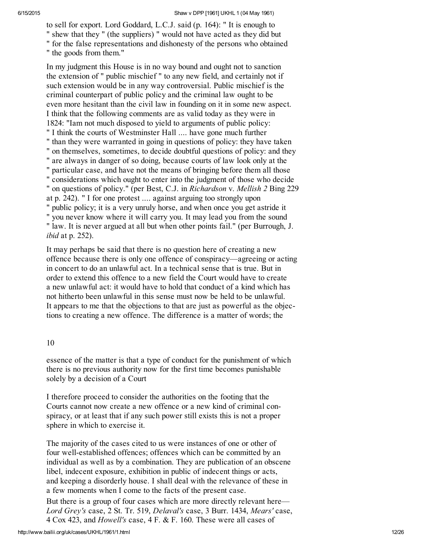to sell for export. Lord Goddard, L.C.J. said (p. 164): " It is enough to

" shew that they " (the suppliers) " would not have acted as they did but

" for the false representations and dishonesty of the persons who obtained

" the goods from them."

In my judgment this House is in no way bound and ought not to sanction the extension of " public mischief " to any new field, and certainly not if such extension would be in any way controversial. Public mischief is the criminal counterpart of public policy and the criminal law ought to be even more hesitant than the civil law in founding on it in some new aspect. I think that the following comments are as valid today as they were in 1824: "Iam not much disposed to yield to arguments of public policy: " I think the courts of Westminster Hall .... have gone much further " than they were warranted in going in questions of policy: they have taken " on themselves, sometimes, to decide doubtful questions of policy: and they " are always in danger of so doing, because courts of law look only at the " particular case, and have not the means of bringing before them all those " considerations which ought to enter into the judgment of those who decide " on questions of policy." (per Best, C.J. in Richardson v. Mellish 2 Bing 229 at p. 242). " I for one protest .... against arguing too strongly upon " public policy; it is a very unruly horse, and when once you get astride it " you never know where it will carry you. It may lead you from the sound " law. It is never argued at all but when other points fail." (per Burrough, J. ibid at p. 252).

It may perhaps be said that there is no question here of creating a new offence because there is only one offence of conspiracy—agreeing or acting in concert to do an unlawful act. In a technical sense that is true. But in order to extend this offence to a new field the Court would have to create a new unlawful act: it would have to hold that conduct of a kind which has not hitherto been unlawful in this sense must now be held to be unlawful. It appears to me that the objections to that are just as powerful as the objections to creating a new offence. The difference is a matter of words; the

### 10

essence of the matter is that a type of conduct for the punishment of which there is no previous authority now for the first time becomes punishable solely by a decision of a Court

I therefore proceed to consider the authorities on the footing that the Courts cannot now create a new offence or a new kind of criminal conspiracy, or at least that if any such power still exists this is not a proper sphere in which to exercise it.

The majority of the cases cited to us were instances of one or other of four well-established offences; offences which can be committed by an individual as well as by a combination. They are publication of an obscene libel, indecent exposure, exhibition in public of indecent things or acts, and keeping a disorderly house. I shall deal with the relevance of these in a few moments when I come to the facts of the present case.

But there is a group of four cases which are more directly relevant here— Lord Grey's case, 2 St. Tr. 519, Delaval's case, 3 Burr. 1434, Mears' case, 4 Cox 423, and Howell's case, 4 F. & F. 160. These were all cases of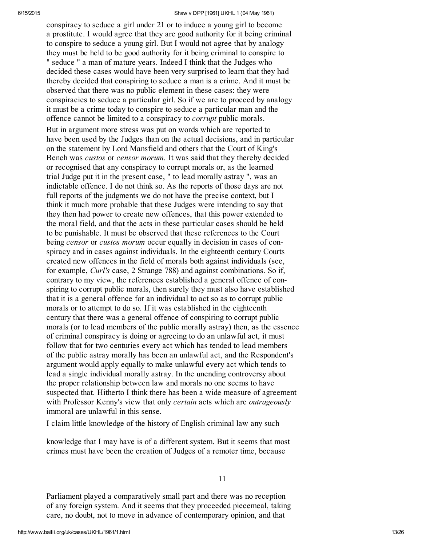conspiracy to seduce a girl under 21 or to induce a young girl to become a prostitute. I would agree that they are good authority for it being criminal to conspire to seduce a young girl. But I would not agree that by analogy they must be held to be good authority for it being criminal to conspire to " seduce " a man of mature years. Indeed I think that the Judges who decided these cases would have been very surprised to learn that they had thereby decided that conspiring to seduce a man is a crime. And it must be observed that there was no public element in these cases: they were conspiracies to seduce a particular girl. So if we are to proceed by analogy it must be a crime today to conspire to seduce a particular man and the offence cannot be limited to a conspiracy to corrupt public morals.

But in argument more stress was put on words which are reported to have been used by the Judges than on the actual decisions, and in particular on the statement by Lord Mansfield and others that the Court of King's Bench was custos or censor morum. It was said that they thereby decided or recognised that any conspiracy to corrupt morals or, as the learned trial Judge put it in the present case, " to lead morally astray ", was an indictable offence. I do not think so. As the reports of those days are not full reports of the judgments we do not have the precise context, but I think it much more probable that these Judges were intending to say that they then had power to create new offences, that this power extended to the moral field, and that the acts in these particular cases should be held to be punishable. It must be observed that these references to the Court being *censor* or *custos morum* occur equally in decision in cases of conspiracy and in cases against individuals. In the eighteenth century Courts created new offences in the field of morals both against individuals (see, for example, Curl's case, 2 Strange 788) and against combinations. So if, contrary to my view, the references established a general offence of conspiring to corrupt public morals, then surely they must also have established that it is a general offence for an individual to act so as to corrupt public morals or to attempt to do so. If it was established in the eighteenth century that there was a general offence of conspiring to corrupt public morals (or to lead members of the public morally astray) then, as the essence of criminal conspiracy is doing or agreeing to do an unlawful act, it must follow that for two centuries every act which has tended to lead members of the public astray morally has been an unlawful act, and the Respondent's argument would apply equally to make unlawful every act which tends to lead a single individual morally astray. In the unending controversy about the proper relationship between law and morals no one seems to have suspected that. Hitherto I think there has been a wide measure of agreement with Professor Kenny's view that only *certain* acts which are *outrageously* immoral are unlawful in this sense.

I claim little knowledge of the history of English criminal law any such

knowledge that I may have is of a different system. But it seems that most crimes must have been the creation of Judges of a remoter time, because

11

Parliament played a comparatively small part and there was no reception of any foreign system. And it seems that they proceeded piecemeal, taking care, no doubt, not to move in advance of contemporary opinion, and that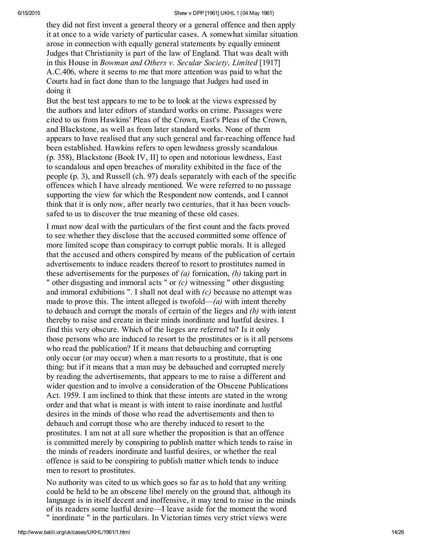they did not first invent a general theory or a general offence and then apply it at once to a wide variety of particular cases. A somewhat similar situation arose in connection with equally general statements by equally eminent Judges that Christianity is part of the law of England. That was dealt with in this House in Bowman and Others v. Secular Society, Limited [1917] A.C.406, where it seems to me that more attention was paid to what the Courts had in fact done than to the language that Judges had used in doing it

But the best test appears to me to be to look at the views expressed by the authors and later editors of standard works on crime. Passages were cited to us from Hawkins' Pleas of the Crown, East's Pleas of the Crown, and Blackstone, as well as from later standard works. None of them appears to have realised that any such general and far-reaching offence had been established. Hawkins refers to open lewdness grossly scandalous (p. 358), Blackstone (Book IV, II] to open and notorious lewdness, East to scandalous and open breaches of morality exhibited in the face of the people (p. 3), and Russell (ch. 97) deals separately with each of the specific offences which I have already mentioned. We were referred to no passage supporting the view for which the Respondent now contends, and I cannot think that it is only now, after nearly two centuries, that it has been vouchsafed to us to discover the true meaning of these old cases.

I must now deal with the particulars of the first count and the facts proved to see whether they disclose that the accused committed some offence of more limited scope than conspiracy to corrupt public morals. It is alleged that the accused and others conspired by means of the publication of certain advertisements to induce readers thereof to resort to prostitutes named in these advertisements for the purposes of (a) fornication, (b) taking part in " other disgusting and immoral acts " or  $(c)$  witnessing " other disgusting and immoral exhibitions ". I shall not deal with  $(c)$  because no attempt was made to prove this. The intent alleged is twofold— $(a)$  with intent thereby to debauch and corrupt the morals of certain of the lieges and (b) with intent thereby to raise and create in their minds inordinate and lustful desires. I find this very obscure. Which of the lieges are referred to? Is it only those persons who are induced to resort to the prostitutes or is it all persons who read the publication? If it means that debauching and corrupting only occur (or may occur) when a man resorts to a prostitute, that is one thing: but if it means that a man may be debauched and corrupted merely by reading the advertisements, that appears to me to raise a different and wider question and to involve a consideration of the Obscene Publications Act. 1959. I am inclined to think that these intents are stated in the wrong order and that what is meant is with intent to raise inordinate and lustful desires in the minds of those who read the advertisements and then to debauch and corrupt those who are thereby induced to resort to the prostitutes. I am not at all sure whether the proposition is that an offence is committed merely by conspiring to publish matter which tends to raise in the minds of readers inordinate and lustful desires, or whether the real offence is said to be conspiring to publish matter which tends to induce men to resort to prostitutes.

No authority was cited to us which goes so far as to hold that any writing could be held to be an obscene libel merely on the ground that, although its language is in itself decent and inoffensive, it may tend to raise in the minds of its readers some lustful desire—I leave aside for the moment the word " inordinate " in the particulars. In Victorian times very strict views were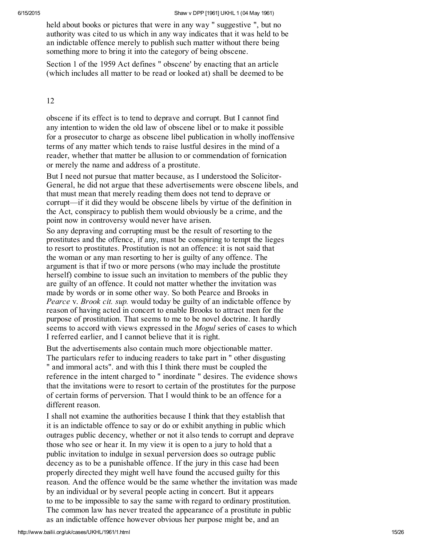held about books or pictures that were in any way " suggestive ", but no authority was cited to us which in any way indicates that it was held to be an indictable offence merely to publish such matter without there being something more to bring it into the category of being obscene.

Section 1 of the 1959 Act defines " obscene' by enacting that an article (which includes all matter to be read or looked at) shall be deemed to be

### 12

obscene if its effect is to tend to deprave and corrupt. But I cannot find any intention to widen the old law of obscene libel or to make it possible for a prosecutor to charge as obscene libel publication in wholly inoffensive terms of any matter which tends to raise lustful desires in the mind of a reader, whether that matter be allusion to or commendation of fornication or merely the name and address of a prostitute.

But I need not pursue that matter because, as I understood the Solicitor-General, he did not argue that these advertisements were obscene libels, and that must mean that merely reading them does not tend to deprave or corrupt—if it did they would be obscene libels by virtue of the definition in the Act, conspiracy to publish them would obviously be a crime, and the point now in controversy would never have arisen.

So any depraving and corrupting must be the result of resorting to the prostitutes and the offence, if any, must be conspiring to tempt the lieges to resort to prostitutes. Prostitution is not an offence: it is not said that the woman or any man resorting to her is guilty of any offence. The argument is that if two or more persons (who may include the prostitute herself) combine to issue such an invitation to members of the public they are guilty of an offence. It could not matter whether the invitation was made by words or in some other way. So both Pearce and Brooks in Pearce v. Brook cit. sup. would today be guilty of an indictable offence by reason of having acted in concert to enable Brooks to attract men for the purpose of prostitution. That seems to me to be novel doctrine. It hardly seems to accord with views expressed in the *Mogul* series of cases to which I referred earlier, and I cannot believe that it is right.

But the advertisements also contain much more objectionable matter. The particulars refer to inducing readers to take part in " other disgusting " and immoral acts". and with this I think there must be coupled the reference in the intent charged to " inordinate " desires. The evidence shows that the invitations were to resort to certain of the prostitutes for the purpose of certain forms of perversion. That I would think to be an offence for a different reason.

I shall not examine the authorities because I think that they establish that it is an indictable offence to say or do or exhibit anything in public which outrages public decency, whether or not it also tends to corrupt and deprave those who see or hear it. In my view it is open to a jury to hold that a public invitation to indulge in sexual perversion does so outrage public decency as to be a punishable offence. If the jury in this case had been properly directed they might well have found the accused guilty for this reason. And the offence would be the same whether the invitation was made by an individual or by several people acting in concert. But it appears to me to be impossible to say the same with regard to ordinary prostitution. The common law has never treated the appearance of a prostitute in public as an indictable offence however obvious her purpose might be, and an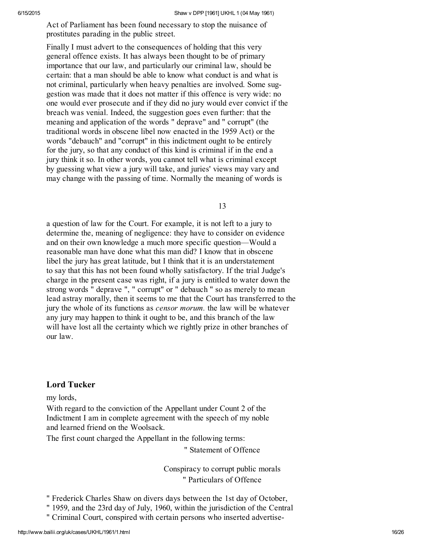Act of Parliament has been found necessary to stop the nuisance of prostitutes parading in the public street.

Finally I must advert to the consequences of holding that this very general offence exists. It has always been thought to be of primary importance that our law, and particularly our criminal law, should be certain: that a man should be able to know what conduct is and what is not criminal, particularly when heavy penalties are involved. Some suggestion was made that it does not matter if this offence is very wide: no one would ever prosecute and if they did no jury would ever convict if the breach was venial. Indeed, the suggestion goes even further: that the meaning and application of the words " deprave" and " corrupt" (the traditional words in obscene libel now enacted in the 1959 Act) or the words "debauch" and "corrupt" in this indictment ought to be entirely for the jury, so that any conduct of this kind is criminal if in the end a jury think it so. In other words, you cannot tell what is criminal except by guessing what view a jury will take, and juries' views may vary and may change with the passing of time. Normally the meaning of words is

13

a question of law for the Court. For example, it is not left to a jury to determine the, meaning of negligence: they have to consider on evidence and on their own knowledge a much more specific question—Would a reasonable man have done what this man did? I know that in obscene libel the jury has great latitude, but I think that it is an understatement to say that this has not been found wholly satisfactory. If the trial Judge's charge in the present case was right, if a jury is entitled to water down the strong words " deprave ", " corrupt" or " debauch " so as merely to mean lead astray morally, then it seems to me that the Court has transferred to the jury the whole of its functions as censor morum. the law will be whatever any jury may happen to think it ought to be, and this branch of the law will have lost all the certainty which we rightly prize in other branches of our law.

# Lord Tucker

my lords,

With regard to the conviction of the Appellant under Count 2 of the Indictment I am in complete agreement with the speech of my noble and learned friend on the Woolsack.

The first count charged the Appellant in the following terms:

" Statement of Offence

Conspiracy to corrupt public morals " Particulars of Offence

- " Frederick Charles Shaw on divers days between the 1st day of October,
- " 1959, and the 23rd day of July, 1960, within the jurisdiction of the Central
- " Criminal Court, conspired with certain persons who inserted advertise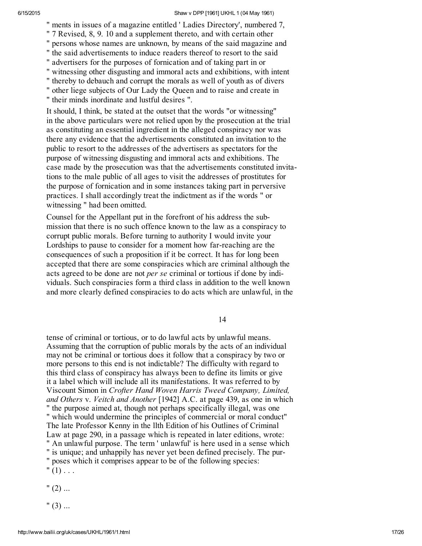- " ments in issues of a magazine entitled ' Ladies Directory', numbered 7,
- " 7 Revised, 8, 9. 10 and a supplement thereto, and with certain other
- " persons whose names are unknown, by means of the said magazine and
- " the said advertisements to induce readers thereof to resort to the said
- " advertisers for the purposes of fornication and of taking part in or
- " witnessing other disgusting and immoral acts and exhibitions, with intent
- " thereby to debauch and corrupt the morals as well of youth as of divers
- " other liege subjects of Our Lady the Queen and to raise and create in
- " their minds inordinate and lustful desires ".

It should, I think, be stated at the outset that the words "or witnessing" in the above particulars were not relied upon by the prosecution at the trial as constituting an essential ingredient in the alleged conspiracy nor was there any evidence that the advertisements constituted an invitation to the public to resort to the addresses of the advertisers as spectators for the purpose of witnessing disgusting and immoral acts and exhibitions. The case made by the prosecution was that the advertisements constituted invitations to the male public of all ages to visit the addresses of prostitutes for the purpose of fornication and in some instances taking part in perversive practices. I shall accordingly treat the indictment as if the words " or witnessing " had been omitted.

Counsel for the Appellant put in the forefront of his address the submission that there is no such offence known to the law as a conspiracy to corrupt public morals. Before turning to authority I would invite your Lordships to pause to consider for a moment how far-reaching are the consequences of such a proposition if it be correct. It has for long been accepted that there are some conspiracies which are criminal although the acts agreed to be done are not *per se* criminal or tortious if done by individuals. Such conspiracies form a third class in addition to the well known and more clearly defined conspiracies to do acts which are unlawful, in the

14

tense of criminal or tortious, or to do lawful acts by unlawful means. Assuming that the corruption of public morals by the acts of an individual may not be criminal or tortious does it follow that a conspiracy by two or more persons to this end is not indictable? The difficulty with regard to this third class of conspiracy has always been to define its limits or give it a label which will include all its manifestations. It was referred to by Viscount Simon in Crofter Hand Woven Harris Tweed Company, Limited, and Others v. Veitch and Another [1942] A.C. at page 439, as one in which " the purpose aimed at, though not perhaps specifically illegal, was one " which would undermine the principles of commercial or moral conduct" The late Professor Kenny in the llth Edition of his Outlines of Criminal Law at page 290, in a passage which is repeated in later editions, wrote: " An unlawful purpose. The term ' unlawful' is here used in a sense which " is unique; and unhappily has never yet been defined precisely. The pur " poses which it comprises appear to be of the following species:

 $" (1) \ldots$ 

 $" (2) ...$ 

 $" (3) ...$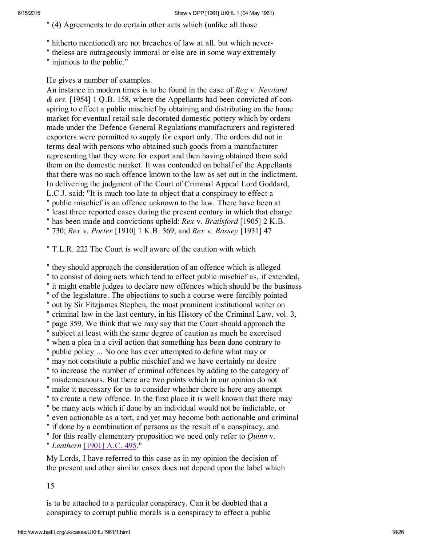" (4) Agreements to do certain other acts which (unlike all those

- " hitherto mentioned) are not breaches of law at all. but which never
- " theless are outrageously immoral or else are in some way extremely
- " injurious to the public."

He gives a number of examples.

An instance in modern times is to be found in the case of Reg v. Newland  $\&$  ors. [1954] 1 O.B. 158, where the Appellants had been convicted of conspiring to effect a public mischief by obtaining and distributing on the home market for eventual retail sale decorated domestic pottery which by orders made under the Defence General Regulations manufacturers and registered exporters were permitted to supply for export only. The orders did not in terms deal with persons who obtained such goods from a manufacturer representing that they were for export and then having obtained them sold them on the domestic market. It was contended on behalf of the Appellants that there was no such offence known to the law as set out in the indictment. In delivering the judgment of the Court of Criminal Appeal Lord Goddard, L.C.J. said: "It is much too late to object that a conspiracy to effect a " public mischief is an offence unknown to the law. There have been at " least three reported cases during the present century in which that charge " has been made and convictions upheld: Rex v. Brailsford [1905] 2 K.B.

" 730; Rex v. Porter [1910] 1 K.B. 369; and Rex v. Bassey [1931] 47

" T.L.R. 222 The Court is well aware of the caution with which

" they should approach the consideration of an offence which is alleged " to consist of doing acts which tend to effect public mischief as, if extended, " it might enable judges to declare new offences which should be the business " of the legislature. The objections to such a course were forcibly pointed " out by Sir Fitzjames Stephen, the most prominent institutional writer on " criminal law in the last century, in his History of the Criminal Law, vol. 3, " page 359. We think that we may say that the Court should approach the " subject at least with the same degree of caution as much be exercised " when a plea in a civil action that something has been done contrary to " public policy ... No one has ever attempted to define what may or " may not constitute a public mischief and we have certainly no desire " to increase the number of criminal offences by adding to the category of " misdemeanours. But there are two points which in our opinion do not " make it necessary for us to consider whether there is here any attempt " to create a new offence. In the first place it is well known that there may " be many acts which if done by an individual would not be indictable, or " even actionable as a tort, and yet may become both actionable and criminal " if done by a combination of persons as the result of a conspiracy, and " for this really elementary proposition we need only refer to Quinn v. " Leathern [\[1901\]](http://www.bailii.org/uk/cases/UKHL/1901/2.html) A.C. 495."

My Lords, I have referred to this case as in my opinion the decision of the present and other similar cases does not depend upon the label which

15

is to be attached to a particular conspiracy. Can it be doubted that a conspiracy to corrupt public morals is a conspiracy to effect a public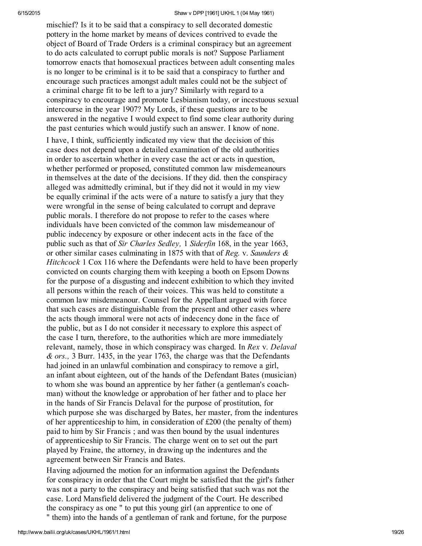mischief? Is it to be said that a conspiracy to sell decorated domestic pottery in the home market by means of devices contrived to evade the object of Board of Trade Orders is a criminal conspiracy but an agreement to do acts calculated to corrupt public morals is not? Suppose Parliament tomorrow enacts that homosexual practices between adult consenting males is no longer to be criminal is it to be said that a conspiracy to further and encourage such practices amongst adult males could not be the subject of a criminal charge fit to be left to a jury? Similarly with regard to a conspiracy to encourage and promote Lesbianism today, or incestuous sexual intercourse in the year 1907? My Lords, if these questions are to be answered in the negative I would expect to find some clear authority during the past centuries which would justify such an answer. I know of none.

I have, I think, sufficiently indicated my view that the decision of this case does not depend upon a detailed examination of the old authorities in order to ascertain whether in every case the act or acts in question, whether performed or proposed, constituted common law misdemeanours in themselves at the date of the decisions. If they did. then the conspiracy alleged was admittedly criminal, but if they did not it would in my view be equally criminal if the acts were of a nature to satisfy a jury that they were wrongful in the sense of being calculated to corrupt and deprave public morals. I therefore do not propose to refer to the cases where individuals have been convicted of the common law misdemeanour of public indecency by exposure or other indecent acts in the face of the public such as that of Sir Charles Sedley, 1 Siderfin 168, in the year 1663, or other similar cases culminating in 1875 with that of Reg. v. Saunders  $\&$ Hitchcock 1 Cox 116 where the Defendants were held to have been properly convicted on counts charging them with keeping a booth on Epsom Downs for the purpose of a disgusting and indecent exhibition to which they invited all persons within the reach of their voices. This was held to constitute a common law misdemeanour. Counsel for the Appellant argued with force that such cases are distinguishable from the present and other cases where the acts though immoral were not acts of indecency done in the face of the public, but as I do not consider it necessary to explore this aspect of the case I turn, therefore, to the authorities which are more immediately relevant, namely, those in which conspiracy was charged. In Rex v. Delaval  $&$  *ors.*, 3 Burr. 1435, in the year 1763, the charge was that the Defendants had joined in an unlawful combination and conspiracy to remove a girl, an infant about eighteen, out of the hands of the Defendant Bates (musician) to whom she was bound an apprentice by her father (a gentleman's coachman) without the knowledge or approbation of her father and to place her in the hands of Sir Francis Delaval for the purpose of prostitution, for which purpose she was discharged by Bates, her master, from the indentures of her apprenticeship to him, in consideration of £200 (the penalty of them) paid to him by Sir Francis ; and was then bound by the usual indentures of apprenticeship to Sir Francis. The charge went on to set out the part played by Fraine, the attorney, in drawing up the indentures and the agreement between Sir Francis and Bates.

Having adjourned the motion for an information against the Defendants for conspiracy in order that the Court might be satisfied that the girl's father was not a party to the conspiracy and being satisfied that such was not the case. Lord Mansfield delivered the judgment of the Court. He described the conspiracy as one " to put this young girl (an apprentice to one of " them) into the hands of a gentleman of rank and fortune, for the purpose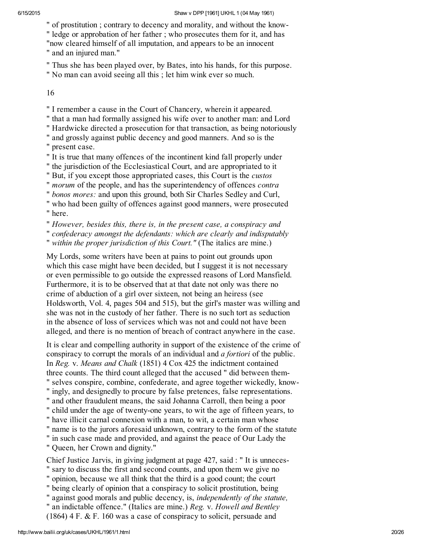" of prostitution ; contrary to decency and morality, and without the know

" ledge or approbation of her father ; who prosecutes them for it, and has

"now cleared himself of all imputation, and appears to be an innocent

" and an injured man."

" Thus she has been played over, by Bates, into his hands, for this purpose.

" No man can avoid seeing all this ; let him wink ever so much.

16

" I remember a cause in the Court of Chancery, wherein it appeared. " that a man had formally assigned his wife over to another man: and Lord " Hardwicke directed a prosecution for that transaction, as being notoriously " and grossly against public decency and good manners. And so is the " present case. " It is true that many offences of the incontinent kind fall properly under " the jurisdiction of the Ecclesiastical Court, and are appropriated to it " But, if you except those appropriated cases, this Court is the custos

" morum of the people, and has the superintendency of offences contra

" bonos mores: and upon this ground, both Sir Charles Sedley and Curl,

" who had been guilty of offences against good manners, were prosecuted " here.

" However, besides this, there is, in the present case, a conspiracy and

" confederacy amongst the defendants: which are clearly and indisputably

" within the proper jurisdiction of this Court." (The italics are mine.)

My Lords, some writers have been at pains to point out grounds upon which this case might have been decided, but I suggest it is not necessary or even permissible to go outside the expressed reasons of Lord Mansfield. Furthermore, it is to be observed that at that date not only was there no crime of abduction of a girl over sixteen, not being an heiress (see Holdsworth, Vol. 4, pages 504 and 515), but the girl's master was willing and she was not in the custody of her father. There is no such tort as seduction in the absence of loss of services which was not and could not have been alleged, and there is no mention of breach of contract anywhere in the case.

It is clear and compelling authority in support of the existence of the crime of conspiracy to corrupt the morals of an individual and a fortiori of the public. In Reg. v. Means and Chalk (1851) 4 Cox 425 the indictment contained three counts. The third count alleged that the accused " did between them " selves conspire, combine, confederate, and agree together wickedly, know " ingly, and designedly to procure by false pretences, false representations. " and other fraudulent means, the said Johanna Carroll, then being a poor " child under the age of twenty-one years, to wit the age of fifteen years, to " have illicit carnal connexion with a man, to wit, a certain man whose " name is to the jurors aforesaid unknown, contrary to the form of the statute " in such case made and provided, and against the peace of Our Lady the " Queen, her Crown and dignity." Chief Justice Jarvis, in giving judgment at page 427, said : " It is unneces

" sary to discuss the first and second counts, and upon them we give no

" opinion, because we all think that the third is a good count; the court

" being clearly of opinion that a conspiracy to solicit prostitution, being

" against good morals and public decency, is, independently of the statute,

" an indictable offence." (Italics are mine.) Reg. v. Howell and Bentley

(1864) 4 F. & F. 160 was a case of conspiracy to solicit, persuade and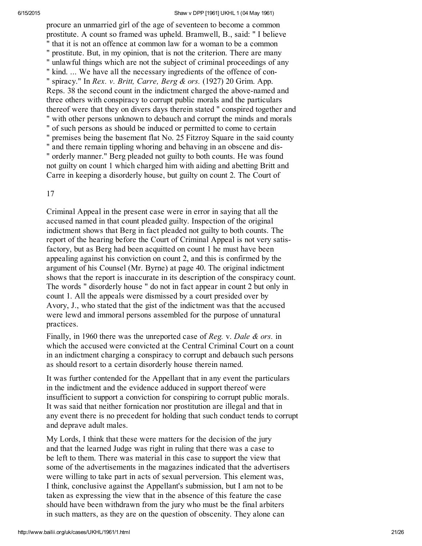procure an unmarried girl of the age of seventeen to become a common prostitute. A count so framed was upheld. Bramwell, B., said: " I believe " that it is not an offence at common law for a woman to be a common " prostitute. But, in my opinion, that is not the criterion. There are many " unlawful things which are not the subject of criminal proceedings of any " kind. ... We have all the necessary ingredients of the offence of con " spiracy." In Rex. v. Britt, Carre, Berg & ors. (1927) 20 Grim. App. Reps. 38 the second count in the indictment charged the above-named and three others with conspiracy to corrupt public morals and the particulars thereof were that they on divers days therein stated " conspired together and " with other persons unknown to debauch and corrupt the minds and morals " of such persons as should be induced or permitted to come to certain " premises being the basement flat No. 25 Fitzroy Square in the said county " and there remain tippling whoring and behaving in an obscene and dis " orderly manner." Berg pleaded not guilty to both counts. He was found not guilty on count 1 which charged him with aiding and abetting Britt and Carre in keeping a disorderly house, but guilty on count 2. The Court of

### 17

Criminal Appeal in the present case were in error in saying that all the accused named in that count pleaded guilty. Inspection of the original indictment shows that Berg in fact pleaded not guilty to both counts. The report of the hearing before the Court of Criminal Appeal is not very satisfactory, but as Berg had been acquitted on count 1 he must have been appealing against his conviction on count 2, and this is confirmed by the argument of his Counsel (Mr. Byrne) at page 40. The original indictment shows that the report is inaccurate in its description of the conspiracy count. The words " disorderly house " do not in fact appear in count 2 but only in count 1. All the appeals were dismissed by a court presided over by Avory, J., who stated that the gist of the indictment was that the accused were lewd and immoral persons assembled for the purpose of unnatural practices.

Finally, in 1960 there was the unreported case of Reg. v. Dale & ors. in which the accused were convicted at the Central Criminal Court on a count in an indictment charging a conspiracy to corrupt and debauch such persons as should resort to a certain disorderly house therein named.

It was further contended for the Appellant that in any event the particulars in the indictment and the evidence adduced in support thereof were insufficient to support a conviction for conspiring to corrupt public morals. It was said that neither fornication nor prostitution are illegal and that in any event there is no precedent for holding that such conduct tends to corrupt and deprave adult males.

My Lords, I think that these were matters for the decision of the jury and that the learned Judge was right in ruling that there was a case to be left to them. There was material in this case to support the view that some of the advertisements in the magazines indicated that the advertisers were willing to take part in acts of sexual perversion. This element was, I think, conclusive against the Appellant's submission, but I am not to be taken as expressing the view that in the absence of this feature the case should have been withdrawn from the jury who must be the final arbiters in such matters, as they are on the question of obscenity. They alone can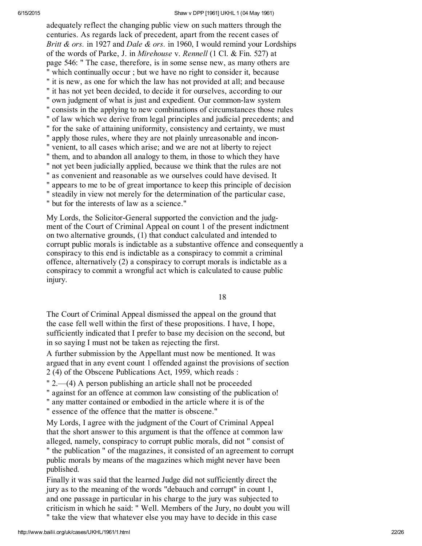adequately reflect the changing public view on such matters through the centuries. As regards lack of precedent, apart from the recent cases of Britt & ors. in 1927 and Dale & ors. in 1960, I would remind your Lordships of the words of Parke, J. in Mirehouse v. Rennell (1 Cl. & Fin. 527) at page 546: " The case, therefore, is in some sense new, as many others are " which continually occur ; but we have no right to consider it, because " it is new, as one for which the law has not provided at all; and because " it has not yet been decided, to decide it for ourselves, according to our " own judgment of what is just and expedient. Our common-law system " consists in the applying to new combinations of circumstances those rules " of law which we derive from legal principles and judicial precedents; and " for the sake of attaining uniformity, consistency and certainty, we must " apply those rules, where they are not plainly unreasonable and incon " venient, to all cases which arise; and we are not at liberty to reject " them, and to abandon all analogy to them, in those to which they have " not yet been judicially applied, because we think that the rules are not " as convenient and reasonable as we ourselves could have devised. It " appears to me to be of great importance to keep this principle of decision " steadily in view not merely for the determination of the particular case, " but for the interests of law as a science."

My Lords, the Solicitor-General supported the conviction and the judgment of the Court of Criminal Appeal on count 1 of the present indictment on two alternative grounds, (1) that conduct calculated and intended to corrupt public morals is indictable as a substantive offence and consequently a conspiracy to this end is indictable as a conspiracy to commit a criminal offence, alternatively (2) a conspiracy to corrupt morals is indictable as a conspiracy to commit a wrongful act which is calculated to cause public injury.

18

The Court of Criminal Appeal dismissed the appeal on the ground that the case fell well within the first of these propositions. I have, I hope, sufficiently indicated that I prefer to base my decision on the second, but in so saying I must not be taken as rejecting the first.

A further submission by the Appellant must now be mentioned. It was argued that in any event count 1 offended against the provisions of section 2 (4) of the Obscene Publications Act, 1959, which reads :

" 2.—(4) A person publishing an article shall not be proceeded

" against for an offence at common law consisting of the publication o!

" any matter contained or embodied in the article where it is of the

" essence of the offence that the matter is obscene."

My Lords, I agree with the judgment of the Court of Criminal Appeal that the short answer to this argument is that the offence at common law alleged, namely, conspiracy to corrupt public morals, did not " consist of " the publication " of the magazines, it consisted of an agreement to corrupt public morals by means of the magazines which might never have been published.

Finally it was said that the learned Judge did not sufficiently direct the jury as to the meaning of the words "debauch and corrupt" in count 1, and one passage in particular in his charge to the jury was subjected to criticism in which he said: " Well. Members of the Jury, no doubt you will " take the view that whatever else you may have to decide in this case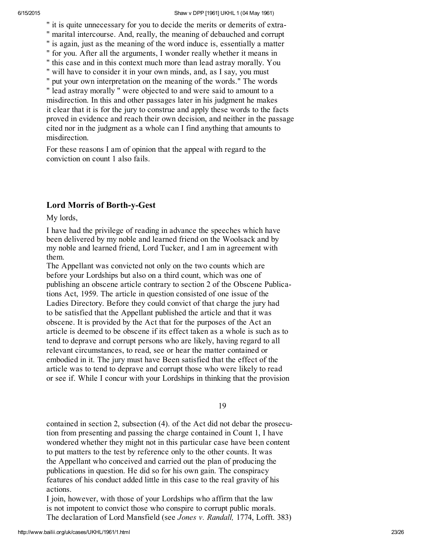- " it is quite unnecessary for you to decide the merits or demerits of extra
- " marital intercourse. And, really, the meaning of debauched and corrupt " is again, just as the meaning of the word induce is, essentially a matter
- " for you. After all the arguments, I wonder really whether it means in
- " this case and in this context much more than lead astray morally. You
- " will have to consider it in your own minds, and, as I say, you must
- " put your own interpretation on the meaning of the words." The words

" lead astray morally " were objected to and were said to amount to a misdirection. In this and other passages later in his judgment he makes it clear that it is for the jury to construe and apply these words to the facts proved in evidence and reach their own decision, and neither in the passage cited nor in the judgment as a whole can I find anything that amounts to misdirection.

For these reasons I am of opinion that the appeal with regard to the conviction on count 1 also fails.

## Lord Morris of Borth-y-Gest

My lords,

I have had the privilege of reading in advance the speeches which have been delivered by my noble and learned friend on the Woolsack and by my noble and learned friend, Lord Tucker, and I am in agreement with them.

The Appellant was convicted not only on the two counts which are before your Lordships but also on a third count, which was one of publishing an obscene article contrary to section 2 of the Obscene Publications Act, 1959. The article in question consisted of one issue of the Ladies Directory. Before they could convict of that charge the jury had to be satisfied that the Appellant published the article and that it was obscene. It is provided by the Act that for the purposes of the Act an article is deemed to be obscene if its effect taken as a whole is such as to tend to deprave and corrupt persons who are likely, having regard to all relevant circumstances, to read, see or hear the matter contained or embodied in it. The jury must have Been satisfied that the effect of the article was to tend to deprave and corrupt those who were likely to read or see if. While I concur with your Lordships in thinking that the provision

19

contained in section 2, subsection (4). of the Act did not debar the prosecution from presenting and passing the charge contained in Count 1, I have wondered whether they might not in this particular case have been content to put matters to the test by reference only to the other counts. It was the Appellant who conceived and carried out the plan of producing the publications in question. He did so for his own gain. The conspiracy features of his conduct added little in this case to the real gravity of his actions.

I join, however, with those of your Lordships who affirm that the law is not impotent to convict those who conspire to corrupt public morals. The declaration of Lord Mansfield (see *Jones v. Randall*, 1774, Lofft. 383)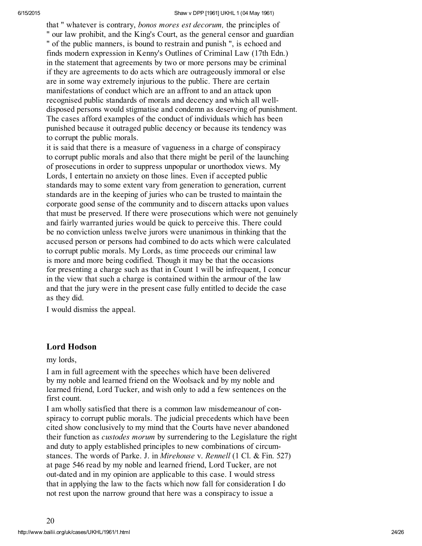that " whatever is contrary, bonos mores est decorum, the principles of " our law prohibit, and the King's Court, as the general censor and guardian " of the public manners, is bound to restrain and punish ", is echoed and finds modern expression in Kenny's Outlines of Criminal Law (17th Edn.) in the statement that agreements by two or more persons may be criminal if they are agreements to do acts which are outrageously immoral or else are in some way extremely injurious to the public. There are certain manifestations of conduct which are an affront to and an attack upon recognised public standards of morals and decency and which all welldisposed persons would stigmatise and condemn as deserving of punishment. The cases afford examples of the conduct of individuals which has been punished because it outraged public decency or because its tendency was to corrupt the public morals.

it is said that there is a measure of vagueness in a charge of conspiracy to corrupt public morals and also that there might be peril of the launching of prosecutions in order to suppress unpopular or unorthodox views. My Lords, I entertain no anxiety on those lines. Even if accepted public standards may to some extent vary from generation to generation, current standards are in the keeping of juries who can be trusted to maintain the corporate good sense of the community and to discern attacks upon values that must be preserved. If there were prosecutions which were not genuinely and fairly warranted juries would be quick to perceive this. There could be no conviction unless twelve jurors were unanimous in thinking that the accused person or persons had combined to do acts which were calculated to corrupt public morals. My Lords, as time proceeds our criminal law is more and more being codified. Though it may be that the occasions for presenting a charge such as that in Count 1 will be infrequent, I concur in the view that such a charge is contained within the armour of the law and that the jury were in the present case fully entitled to decide the case as they did.

I would dismiss the appeal.

### Lord Hodson

my lords,

I am in full agreement with the speeches which have been delivered by my noble and learned friend on the Woolsack and by my noble and learned friend, Lord Tucker, and wish only to add a few sentences on the first count.

I am wholly satisfied that there is a common law misdemeanour of conspiracy to corrupt public morals. The judicial precedents which have been cited show conclusively to my mind that the Courts have never abandoned their function as custodes morum by surrendering to the Legislature the right and duty to apply established principles to new combinations of circumstances. The words of Parke. J. in Mirehouse v. Rennell (1 Cl. & Fin. 527) at page 546 read by my noble and learned friend, Lord Tucker, are not out-dated and in my opinion are applicable to this case. I would stress that in applying the law to the facts which now fall for consideration I do not rest upon the narrow ground that here was a conspiracy to issue a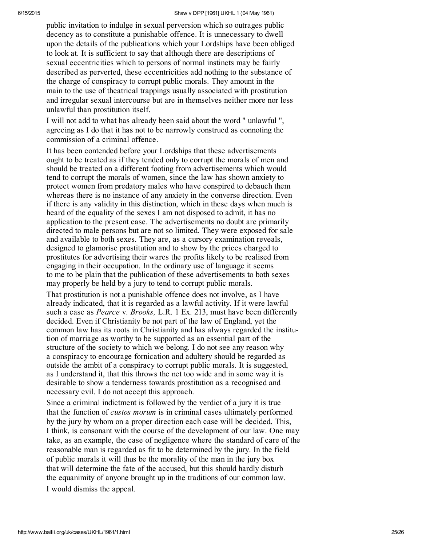public invitation to indulge in sexual perversion which so outrages public decency as to constitute a punishable offence. It is unnecessary to dwell upon the details of the publications which your Lordships have been obliged to look at. It is sufficient to say that although there are descriptions of sexual eccentricities which to persons of normal instincts may be fairly described as perverted, these eccentricities add nothing to the substance of the charge of conspiracy to corrupt public morals. They amount in the main to the use of theatrical trappings usually associated with prostitution and irregular sexual intercourse but are in themselves neither more nor less unlawful than prostitution itself.

I will not add to what has already been said about the word " unlawful ", agreeing as I do that it has not to be narrowly construed as connoting the commission of a criminal offence.

It has been contended before your Lordships that these advertisements ought to be treated as if they tended only to corrupt the morals of men and should be treated on a different footing from advertisements which would tend to corrupt the morals of women, since the law has shown anxiety to protect women from predatory males who have conspired to debauch them whereas there is no instance of any anxiety in the converse direction. Even if there is any validity in this distinction, which in these days when much is heard of the equality of the sexes I am not disposed to admit, it has no application to the present case. The advertisements no doubt are primarily directed to male persons but are not so limited. They were exposed for sale and available to both sexes. They are, as a cursory examination reveals, designed to glamorise prostitution and to show by the prices charged to prostitutes for advertising their wares the profits likely to be realised from engaging in their occupation. In the ordinary use of language it seems to me to be plain that the publication of these advertisements to both sexes may properly be held by a jury to tend to corrupt public morals.

That prostitution is not a punishable offence does not involve, as I have already indicated, that it is regarded as a lawful activity. If it were lawful such a case as *Pearce v. Brooks*, L.R. 1 Ex. 213, must have been differently decided. Even if Christianity be not part of the law of England, yet the common law has its roots in Christianity and has always regarded the institution of marriage as worthy to be supported as an essential part of the structure of the society to which we belong. I do not see any reason why a conspiracy to encourage fornication and adultery should be regarded as outside the ambit of a conspiracy to corrupt public morals. It is suggested, as I understand it, that this throws the net too wide and in some way it is desirable to show a tenderness towards prostitution as a recognised and necessary evil. I do not accept this approach.

Since a criminal indictment is followed by the verdict of a jury it is true that the function of custos morum is in criminal cases ultimately performed by the jury by whom on a proper direction each case will be decided. This, I think, is consonant with the course of the development of our law. One may take, as an example, the case of negligence where the standard of care of the reasonable man is regarded as fit to be determined by the jury. In the field of public morals it will thus be the morality of the man in the jury box that will determine the fate of the accused, but this should hardly disturb the equanimity of anyone brought up in the traditions of our common law. I would dismiss the appeal.